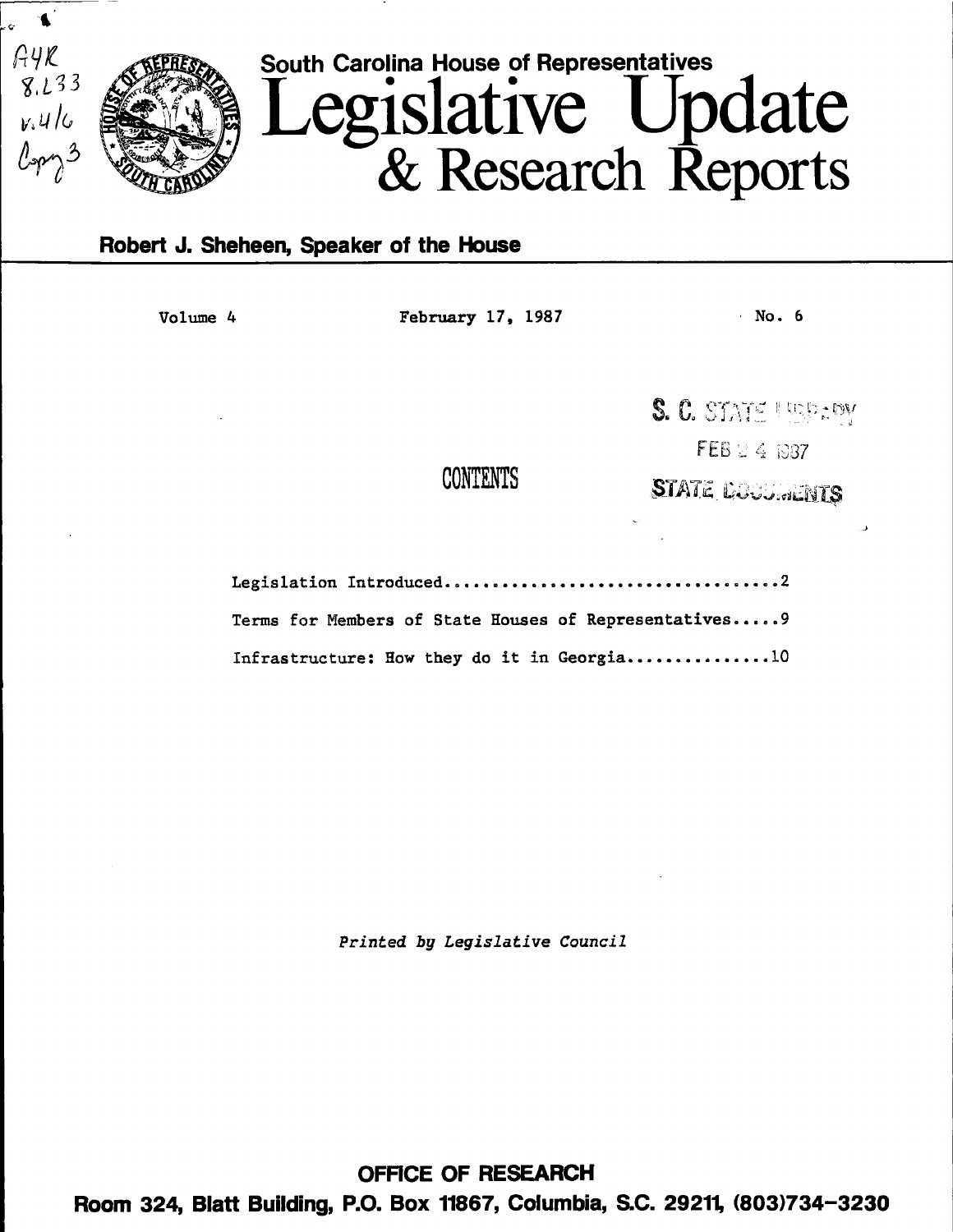

# Robert J. Sheheen, Speaker of the House

Volume 4 February 17, 1987 · No. 6

CONTENTS

S. C. STATE USPERY

 $FEB \subseteq 4$  1087

**STATE DOUGHENTS** 

Legislation Introduced.o••••••••••••••••••••••••••••o••••2 Terms for Members of State Houses of Representatives..... 9 Infrastructure: How they do it in Georgia................10

*Printed* by *Legislative Council* 

OFFICE OF RESEARCH Room 324, Blatt Building, P.O. Box 11867, Columbia, S.C. 29211, (803)734-3230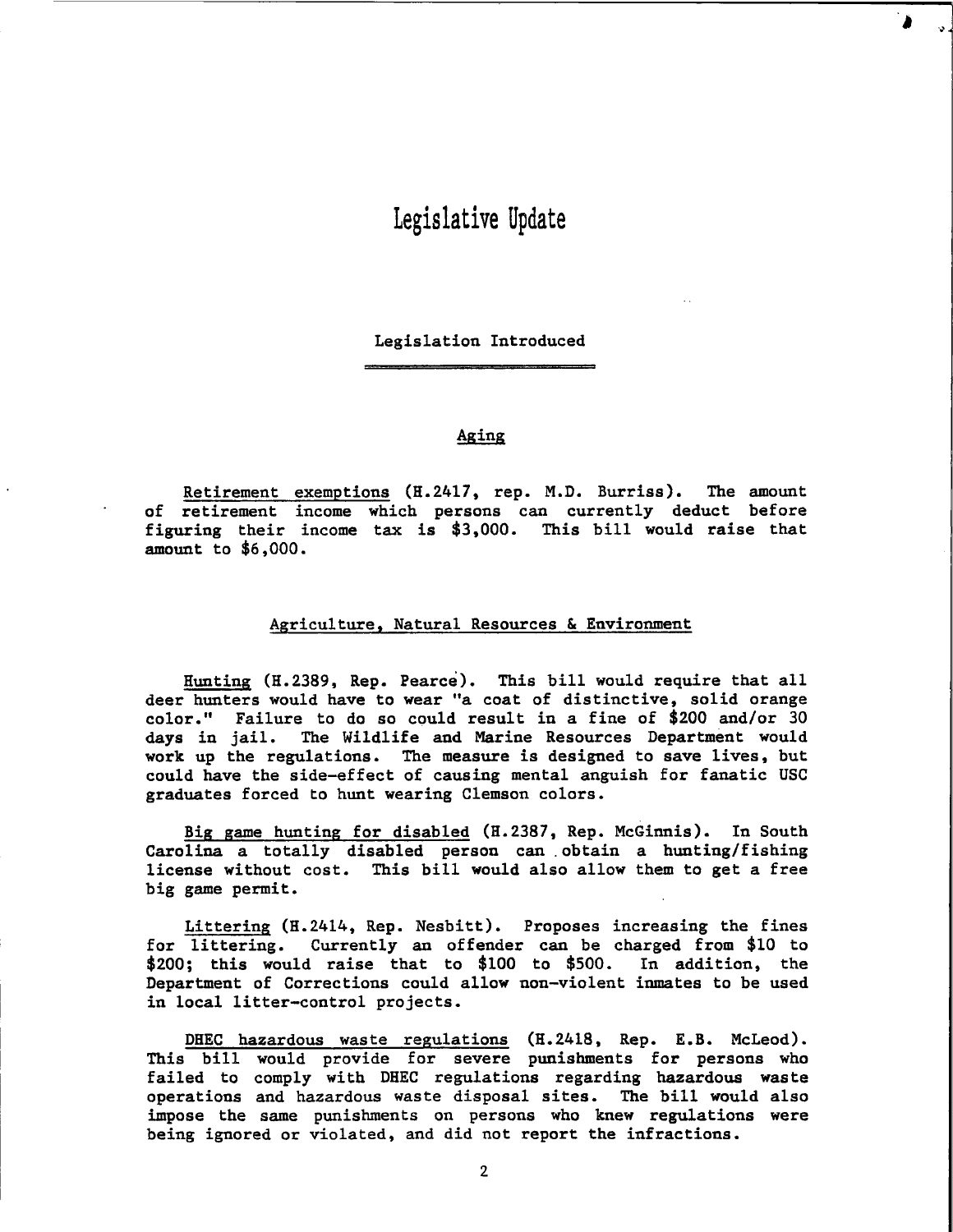# Legislative Update

Legislation Introduced

# Aging

Retirement exemptions (H.2417, rep. M.D. Burriss). The amount of retirement income which persons can currently deduct before figuring their income tax is \$3,000. This bill would raise that amount to \$6,000.

# Agriculture, Natural Resources & Environment

Hunting (H.2389, Rep. Pearce). This bill would require that all deer hunters would have to wear "a coat of distinctive, solid orange color." Failure to do so could result in a fine of \$200 and/or 30 days in jail. The Wildlife and Marine Resources Department would work up the regulations. The measure is designed to save lives, but could have the side-effect of causing mental anguish for fanatic USC graduates forced to hunt wearing Clemson colors.

Big game hunting for disabled (H.2387, Rep. McGinnis). In South Carolina a totally disabled person can . obtain a hunting/fishing license without cost. This bill would also allow them to get a free big game permit.

Littering (H.2414, Rep. Nesbitt). Proposes increasing the fines for littering. Currently an offender can be charged from \$10 to  $$200;$  this would raise that to  $$100$  to  $$500.$ Department of Corrections could allow non-violent inmates to be used in local litter-control projects.

DHEC hazardous waste regulations (H.2418, Rep. E.B. McLeod). This bill would provide for severe punishments for persons who failed to comply with DHEC regulations regarding hazardous waste operations and hazardous waste disposal sites. The bill would also impose the same punishments on persons who knew regulations were being ignored or violated, and did not report the infractions.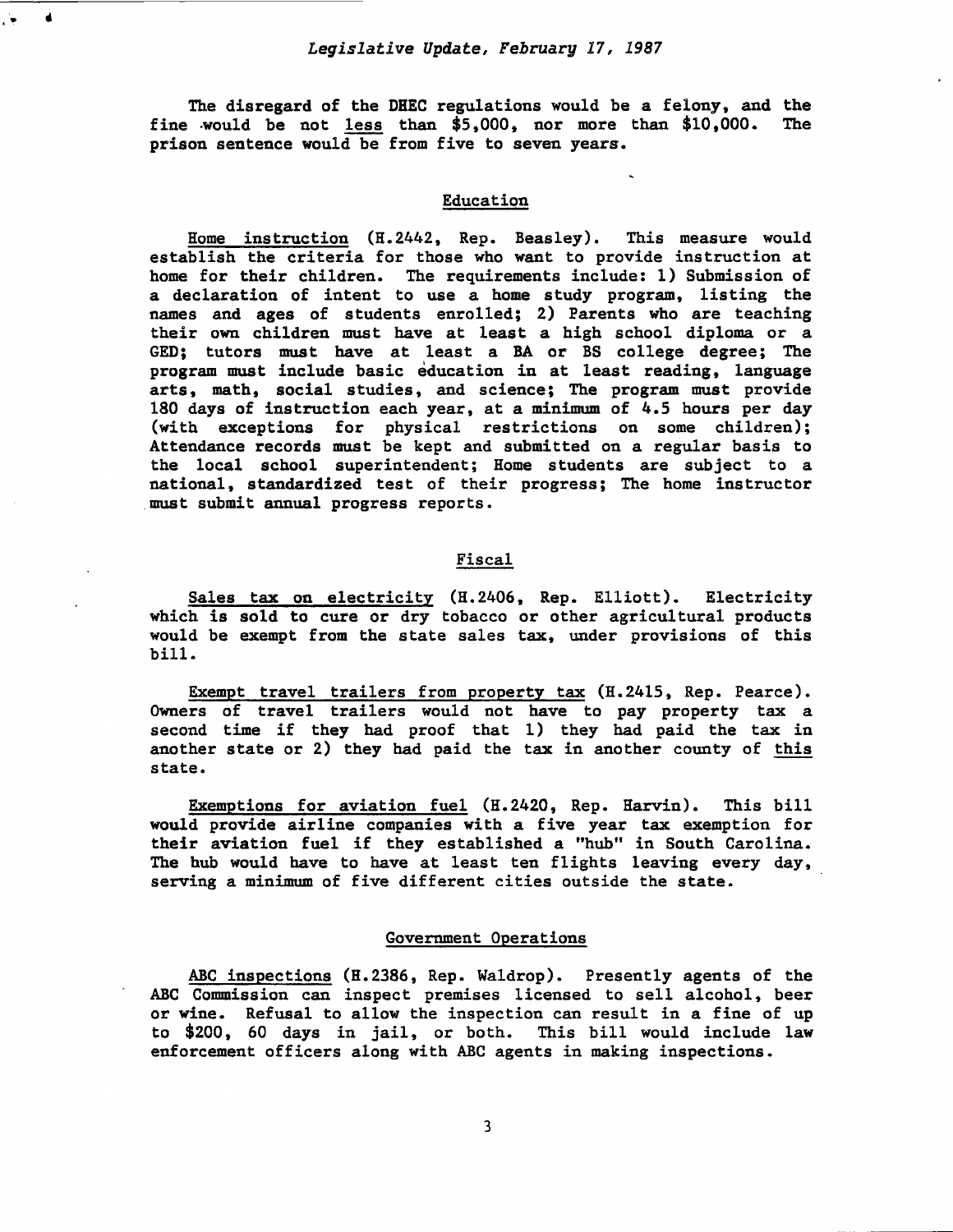..

The disregard of the DHEC regulations would be a felony, and the fine .would be not less than \$5,000, nor more than \$10,000. The prison sentence would be from five to seven years.

# Education

Home instruction (H.2442, Rep. Beasley). This measure would establish the criteria for those who want to provide instruction at home for their children. The requirements include: 1) Submission of a declaration of intent to use a home study program, listing the names and ages of students enrolled; 2) Parents who are teaching their own children must have at least a high school diploma or a GED; tutors must have at least a BA or BS college degree; The program must include basic education in at least reading, language arts, math, social studies, and science; The program must provide 180 days of instruction each year, at a minimum of 4.5 hours per day (with exceptions for physical restrictions on some children); Attendance records must be kept and submitted on a regular basis to the local school superintendent; Home students are subject to a national, standardized test of their progress; The home instructor .must submit annual progress reports.

# Fiscal

Sales tax on electricity (H.2406, Rep. Elliott). Electricity which is sold to cure or dry tobacco or other agricultural products would be exempt from the state sales tax, under provisions of this bill.

Exempt travel trailers from property tax (H.2415, Rep. Pearce). Owners of travel trailers would not have to pay property tax a second time if they had proof that 1) they had paid the tax in another state or 2) they had paid the tax in another county of this state.

Exemptions for aviation fuel (H. 2420, Rep. Harvin). This bill would provide airline companies with a five year tax exemption for their aviation fuel if they established a "hub" in South Carolina. The hub would have to have at least ten flights leaving every day, serving a minimum of five different cities outside the state.

#### Government Operations

ABC inspections (H.2386, Rep. Waldrop). Presently agents of the ABC Commission can inspect premises licensed to sell alcohol, beer or wine. Refusal to allow the inspection can result in a fine of up to \$200, 60 days in jail, or both. This bill would include law enforcement officers along with ABC agents in making inspections.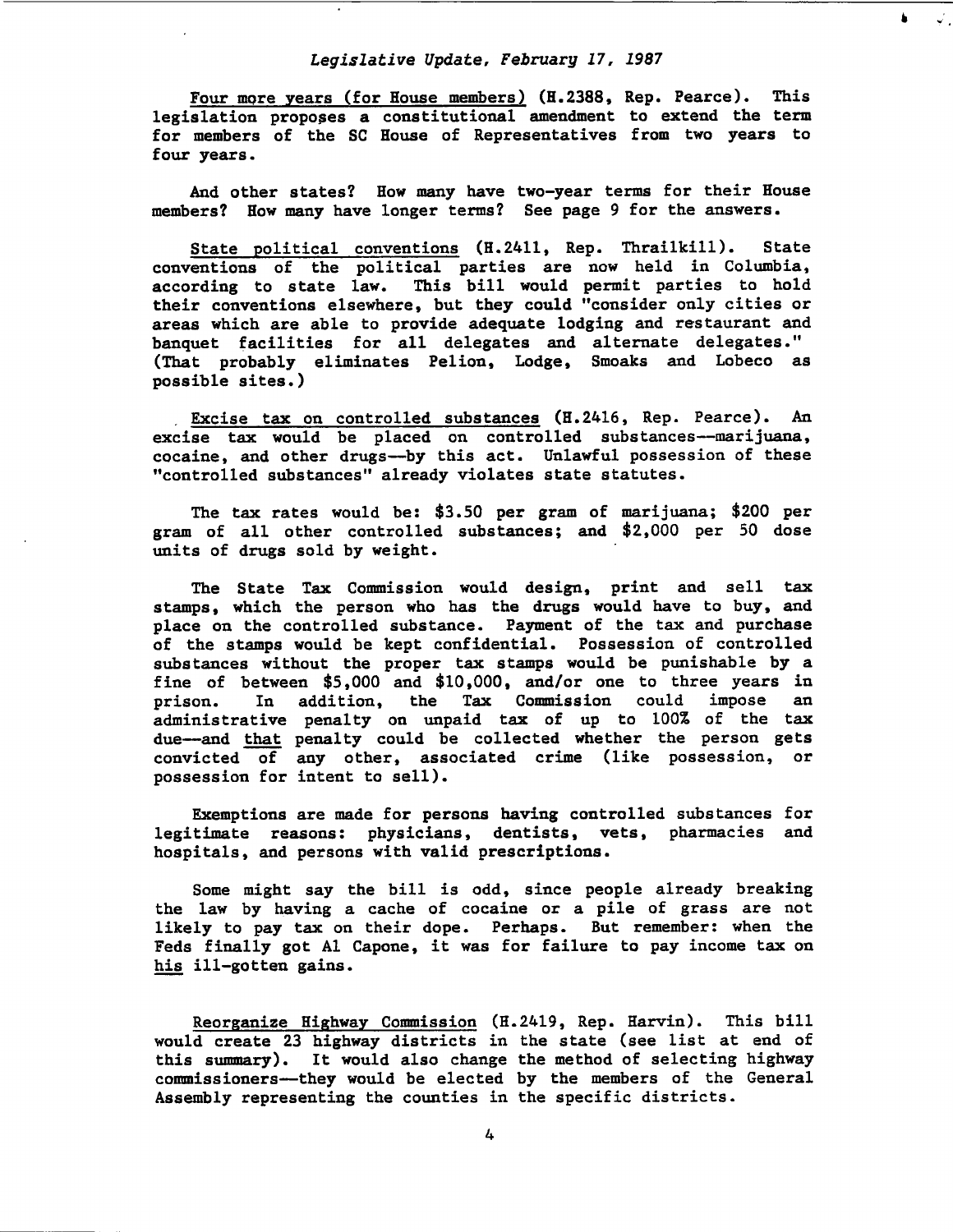Four more years (for House members) (H.2388, Rep. Pearce). This legislation proposes a constitutional amendment to extend the term for members of the SC House of Representatives from two years to four years.

And other states? How many have two-year terms for their House members? How many have longer terms? See page 9 for the answers.

State political conventions (H.2411, Rep. Thrailkill). State conventions of the political parties are now held in Columbia, according to state law. This bill would permit parties to hold their conventions elsewhere, but they could "consider only cities or areas which are able to provide adequate lodging and restaurant and banquet facilities for all delegates and alternate delegates." (That probably eliminates Pelion, Lodge, Smoaks and Lobeco as possible sites.)

Excise tax on controlled substances (H.2416, Rep. Pearce). An excise tax would be placed on controlled substances--marijuana, cocaine, and other drugs--by this act. Unlawful possession of these "controlled substances" already violates state statutes.

The tax rates would be: \$3.50 per gram of marijuana; \$200 per gram of all other controlled substances; and \$2,000 per 50 dose units of drugs sold by weight.

The State Tax Commission would design, print and sell tax stamps, which the person who has the drugs would have to buy, and place on the controlled substance. Payment of the tax and purchase of the stamps would be kept confidential. Possession of controlled substances without the proper tax stamps would be punishable by a fine of between \$5,000 and \$10,000, and/or one to three years in prison. In addition, the Tax Commission could impose an prison. In addition, the Tax Commission could impose an administrative penalty on unpaid tax of up to 100% of the tax due--and that penalty could be collected whether the person gets convicted of any other, associated crime (like possession, or possession for intent to sell).

Exemptions are made for persons having controlled substances for legitimate reasons: physicians, dentists, vets, pharmacies and hospitals, and persons with valid prescriptions.

Some might say the bill is odd, since people already breaking the law by having a cache of cocaine or a pile of grass are not likely to pay tax on their dope. Perhaps. But remember: when the Feds finally got Al Capone, it was for failure to pay income tax on his ill-gotten gains.

Reorganize Highway Commission (H.2419, Rep. Harvin). This bill would create 23 highway districts in the state (see list at end of this summary). It would also change the method of selecting highway commissioners-they would be elected by the members of the General Assembly representing the counties in the specific districts.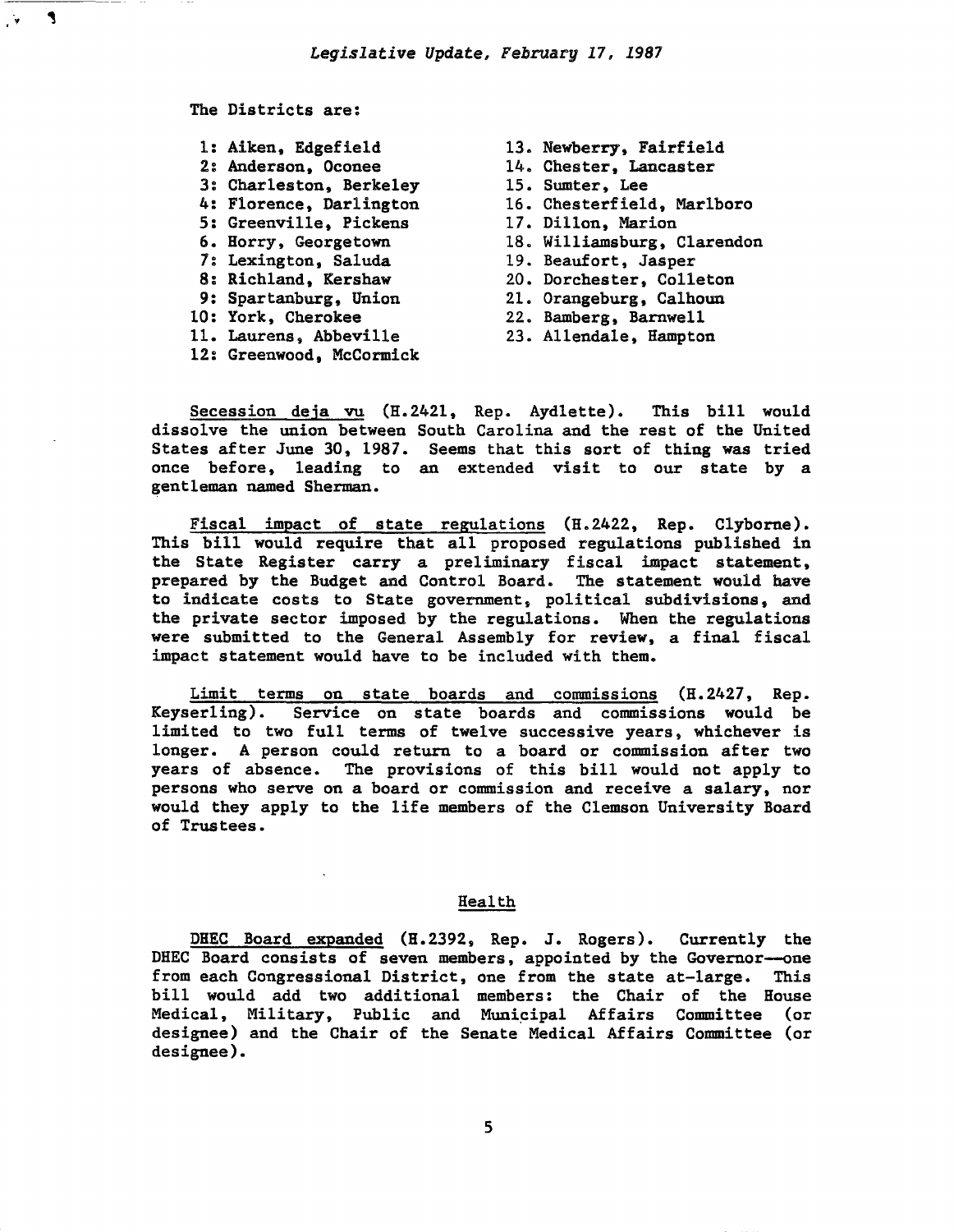The Districts are:

 $\blacktriangleleft$ 

- 1: Aiken, Edgefield 13. Newberry, Fairfield<br>2: Anderson, Oconee 14. Chester, Lancaster 3: Charleston, Berkeley<br>4: Florence, Darlington 5: Greenville, Pickens<br>6. Horry, Georgetown 7: Lexington, Saluda<br>8: Richland, Kershaw 8: Richland, Kershaw 20. Dorchester, Colleton<br>9: Spartanburg, Union 21. Orangeburg, Calhoun 9: Spartanburg, Union 21. Orangeburg, Calhoun<br>10: York, Cherokee 22. Bamberg, Barnwell 11. Laurens, Abbeville
- 12: Greenwood, McCormick

- 14. Chester, Lancaster<br>15. Sumter, Lee
- 
- 16. Chesterfield, Marlboro<br>17. Dillon, Marion
- 
- 18. Williamsburg, Clarendon<br>19. Beaufort, Jasper
- 
- 
- 
- 
- 22. Bamberg, Barnwell<br>23. Allendale, Hampton

Secession deja vu (H.2421, Rep. Aydlette). This bill would dissolve the union between South Carolina and the rest of the United States after June 30, 1987. Seems that this sort of thing was tried once before, leading to an extended visit to our state by a gentleman named Sherman.

Fiscal impact of state regulations (H.2422, Rep. Clyborne). This bill would require that all proposed regulations published in the State Register carry a preliminary fiscal impact statement, prepared by the Budget and Control Board. The statement would have to indicate costs to State government, political subdivisions, and the private sector imposed by the regulations. When the regulations were submitted to the General Assembly for review, a final fiscal impact statement would have to be included with them.

Limit terms on state boards and commissions (H.2427, Rep. Keyserling). Service on state boards and commissions would be limited to two full terms of twelve successive years, whichever is longer. A person could return to a board or commission after two years of absence. The provisions of this bill would not apply to persons who serve on a board or commission and receive a salary, nor would they apply to the life members of the Clemson University Board of Trustees.

### Health

DHEC Board expanded (H.2392, Rep. J. Rogers). Currently the DHEC Board consists of seven members, appointed by the Governor--one from each Congressional District, one from the state at-large. This bill would add two additional members: the Chair of the House Medical, Military, Public and Muni~ipal Affairs Committee (or designee) and the Chair of the Senate Medical Affairs Committee (or designee).

5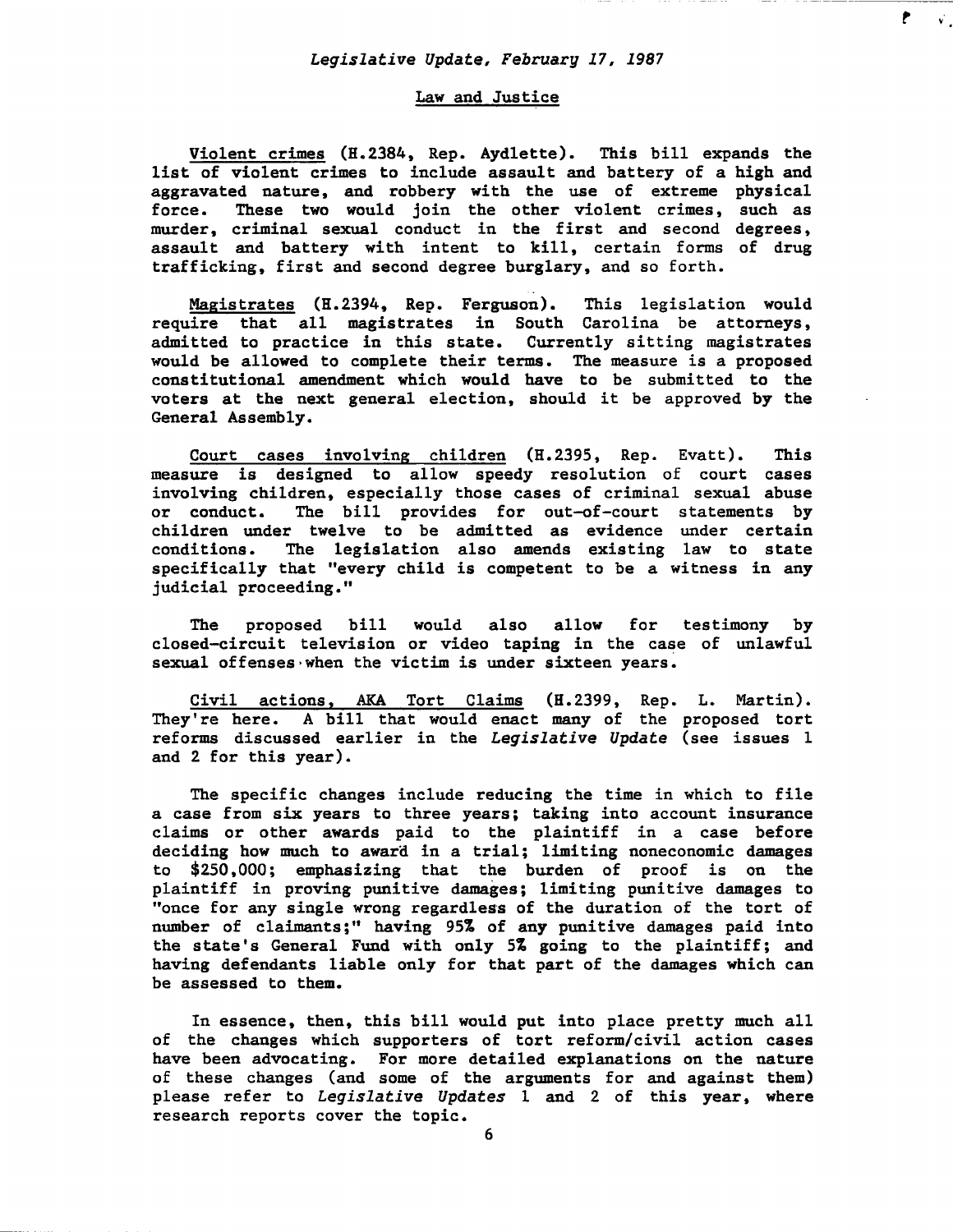$\vec{v}$  .

# Law and Justice

Violent crimes (H.2384, Rep. Aydlette). This bill expands the list of violent crimes to include assault and battery of a high and aggravated nature, and robbery with the use of extreme physical force. These two would join the other violent crimes, such as murder, criminal sexual conduct in the first and second degrees, assault and battery with intent to kill, certain forms of drug trafficking, first and second degree burglary, and so forth.

Magistrates (H.2394, Rep. Ferguson). This legislation would require that all magistrates in South Carolina be attorneys, admitted to practice in this state. Currently sitting magistrates would be allowed to complete their terms. The measure is a proposed constitutional amendment which would have to be submitted to the voters at the next general election, should it be approved by the General Assembly.

Court cases involving children (H.2395, Rep. Evatt). This measure is designed to allow speedy resolution of court cases involving children, especially those cases of criminal sexual abuse<br>or conduct. The bill provides for out-of-court statements by The bill provides for out-of-court statements by children under twelve to be admitted as evidence under certain conditions. The legislation also amends existing law to state specifically that "every child is competent to be a witness in any judicial proceeding."

The proposed bill would also allow for testimony by closed-circuit television or video taping in the case of unlawful sexual offenses when the victim is under sixteen years.

Civil actions, AKA Tort Claims (H.2399, Rep. L. Martin). They're here. A bill that would enact many of the proposed tort reforms discussed earlier in the Legislative Update (see issues 1 and 2 for this year).

The specific changes include reducing the time in which to file a case from six years to three years; taking into account insurance claims or other awards paid to the plaintiff in a case before deciding how much to award in a trial; limiting noneconomic damages to \$250,000; emphasizing that the burden of proof is on the plaintiff in proving punitive damages; limiting punitive damages to "once for any single wrong regardless of the duration of the tort of number of claimants;" having 95% of any punitive damages paid into the state's General Fund with only 5% going to the plaintiff; and having defendants liable only for that part of the damages which can be assessed to them.

In essence, then, this bill would put into place pretty much all of the changes which supporters of tort reform/civil action cases have been advocating. For more detailed explanations on the nature of these changes (and some of the arguments for and against them) please refer to Legislative Updates 1 and 2 of this year, where research reports cover the topic.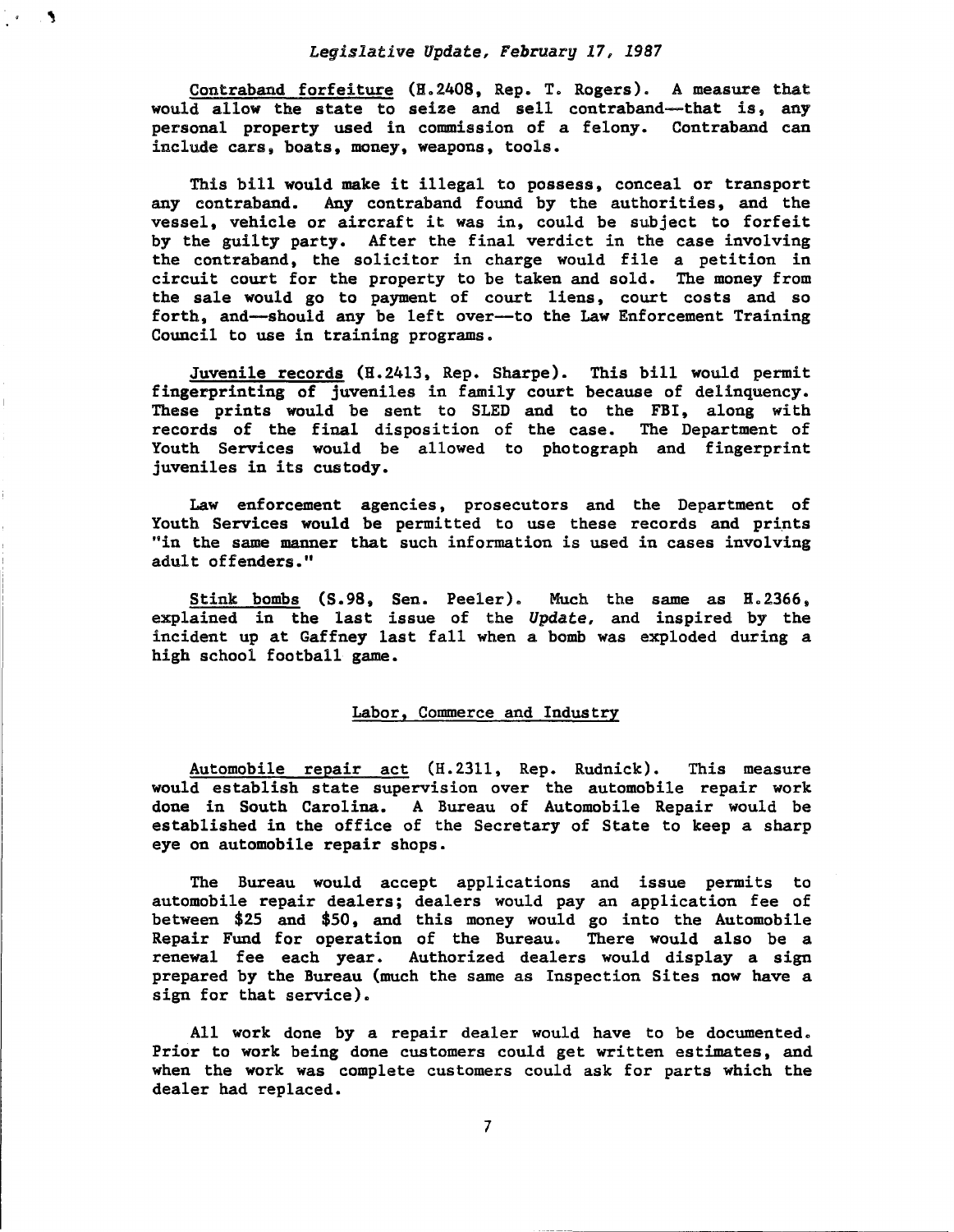$\frac{1}{2}$  $\mathbf{A}$ 

> Contraband forfeiture  $(H.2408, Rep. T. Rogers)$ . A measure that would allow the state to seize and sell contraband--that is, any personal property used in commission of a felony. Contraband can include cars, boats, money, weapons, tools.

> This bill would make it illegal to possess, conceal or transport any contraband. Any contraband found by the authorities, and the vessel, vehicle or aircraft it was in, could be subject to forfeit by the guilty party. After the final verdict in the case involving the contraband, the solicitor in charge would file a petition in circuit court for the property to be taken and sold. The money from the sale would go to payment of court liens, court costs and so forth, and-should any be left over--to the Law Enforcement Training Council to use in training programs.

> Juvenile records (H.2413, Rep. Sharpe). This bill would permit fingerprinting of juveniles in family court because of delinquency. These prints would be sent to SLED and to the FBI, along with records of the final disposition of the case. The Department of Youth Services would be allowed to photograph and fingerprint juveniles in its custody.

> Law enforcement agencies, prosecutors and the Department of Youth Services would be permitted to use these records and prints "in the same manner that such information is used in cases involving adult offenders."

> Stink bombs (S.98, Sen. Peeler). Much the same as H.2366, explained in the last issue of the *Update,* and inspired by the incident up at Gaffney last fall when a bomb was exploded during a high school football game.

# Labor, Commerce and Industry

Automobile repair act (H. 2311, Rep. Rudnick). This measure would establish state supervision over the automobile repair work done in South Carolina. A Bureau of Automobile Repair would be established in the office of the Secretary of State to keep a sharp eye on automobile repair shops.

The Bureau would accept applications and issue permits to automobile repair dealers; dealers would pay an application fee of between \$25 and \$50, and this money would go into the Automobile Repair Fund for operation of the Bureau. There would also be a renewal fee each year. Authorized dealers would display a sign prepared by the Bureau (much the same as Inspection Sites now have a sign for that service).

All work done by a repair dealer would have to be documented. Prior to work being done customers could get written estimates, and when the work was complete customers could ask for parts which the dealer had replaced.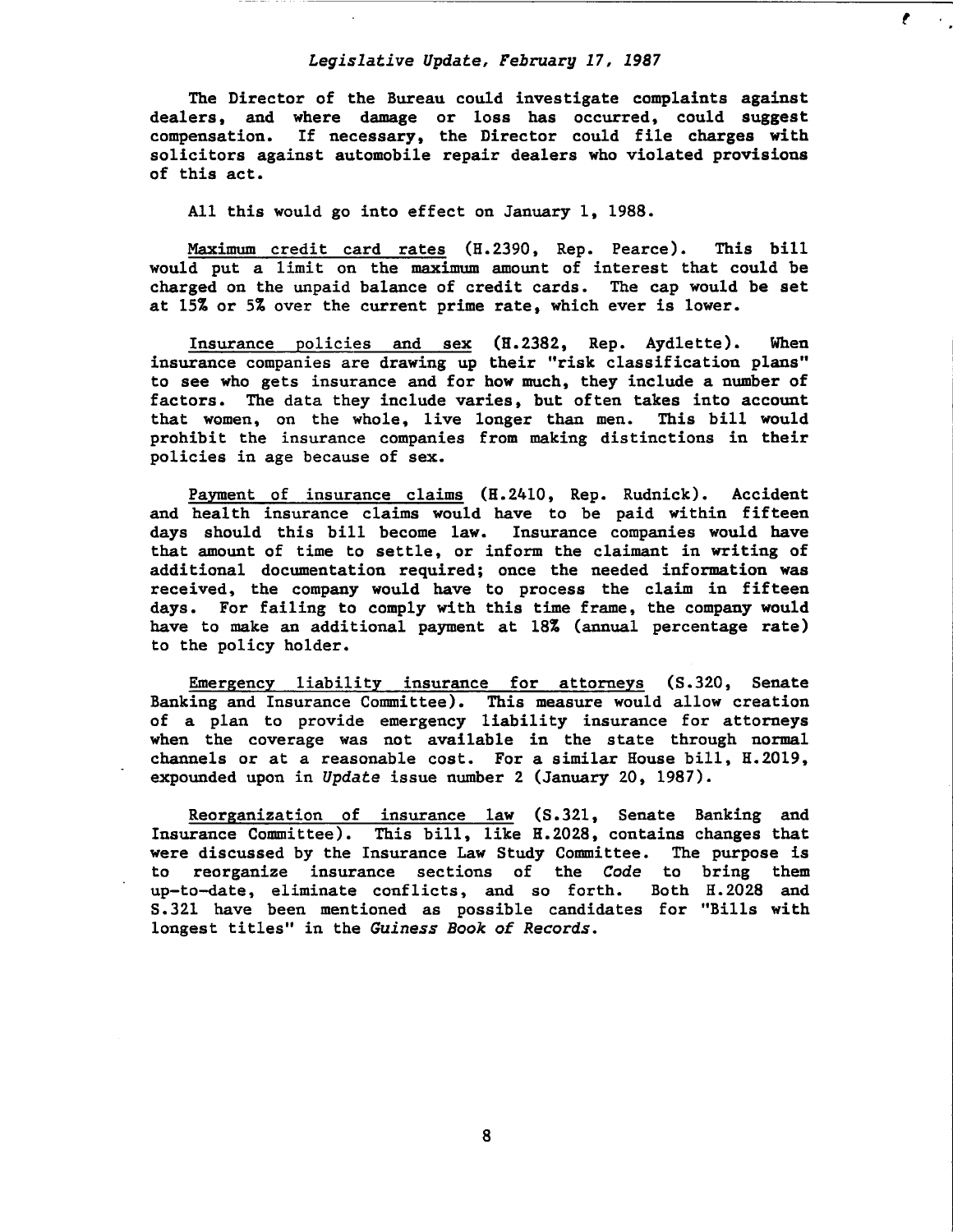*t* 

The Director of the Bureau could investigate complaints against dealers, and where damage or loss has occurred, could suggest compensation. If necessary, the Director could file charges with solicitors against automobile repair dealers who violated provisions of this act.

All this would go into effect on January 1, 1988.

Maximum credit card rates (H.2390, Rep. Pearce). This bill would put a limit on the maximum amount of interest that could be charged on the unpaid balance of credit cards. The cap would be set at 15% or 5% over the current prime rate, which ever is lower.

Insurance policies and sex (H.2382, Rep. Aydlette). When insurance companies are drawing up their "risk classification plans" to see who gets insurance and for how much, they include a number of factors. The data they include varies, but often takes into account that wgmen, on the whole, live longer than men. This bill would prohibit the insurance companies from making distinctions in their policies in age because of sex.

Payment of insurance claims (H.2410, Rep. Rudnick). Accident and health insurance claims would have to be paid within fifteen days should this bill become law. Insurance companies would have that amount of time to settle, or inform the claimant in writing of additional documentation required; once the needed information was received, the company would have to process the claim in fifteen days. For failing to comply with this time frame, the company would have to make an additional payment at 18% (annual percentage rate) to the policy holder.

Emergency liability insurance for attorneys (S.320, Senate Banking and Insurance Committee). This measure would allow creation of a plan to provide emergency liability insurance for attorneys when the coverage was not available in the state through normal channels or at a reasonable cost. For a similar House bill, H.2019, expounded upon in *Update* issue number 2 (January 20, 1987).

Reorganization of insurance law (S.321, Senate Banking and Insurance Committee). This bill, like H.2028, contains changes that were discussed by the Insurance Law Study Committee. The purpose is to reorganize insurance sections of the *Code* to bring them up-to-date, eliminate conflicts, and so forth. Both H.2028 and S. 321 have been mentioned as possible candidates for "Bills with longest titles" in the *Guiness Book of Records.* 

8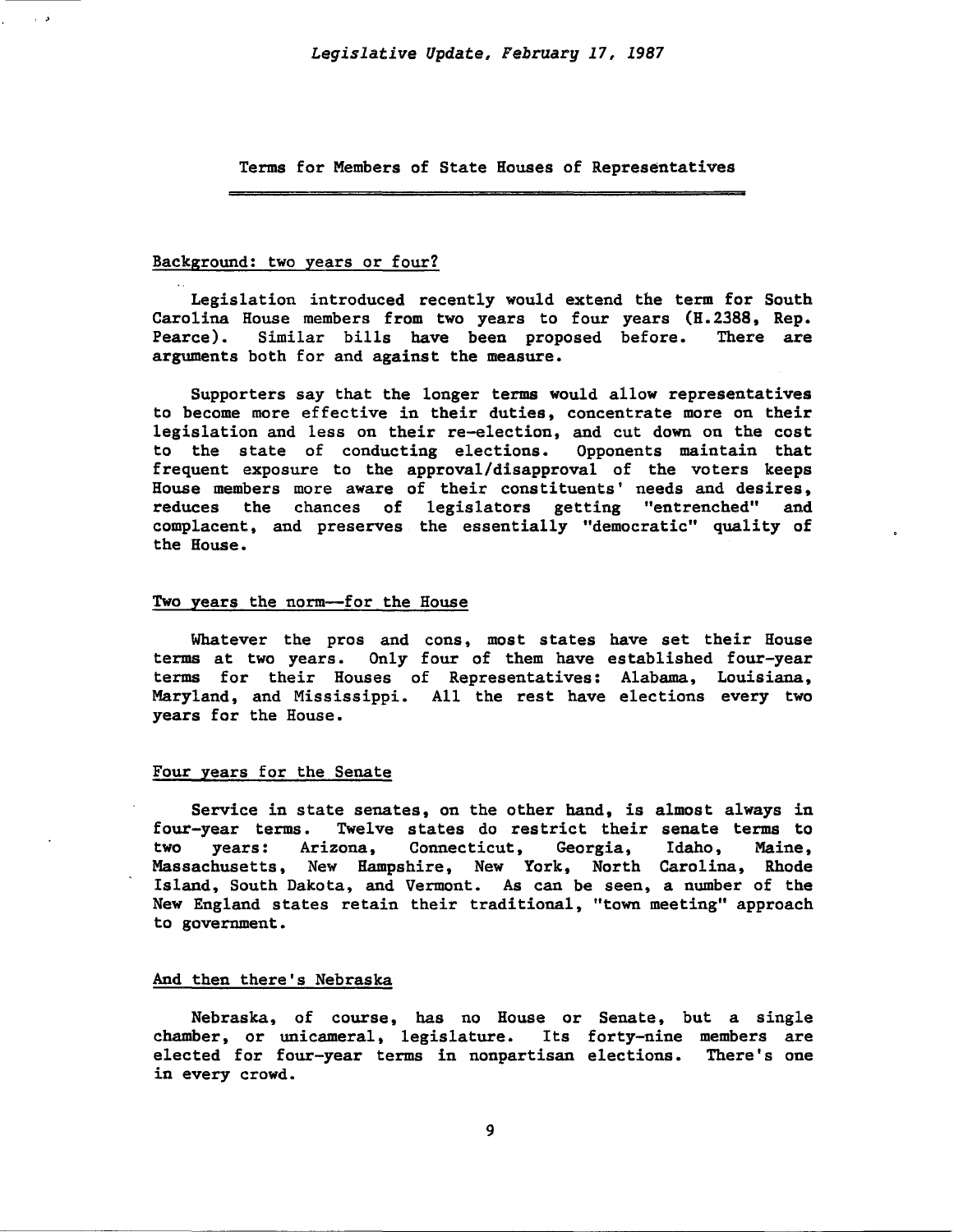Terms for Members of State Houses of Representatives

# Background: two years or four?

ذیا

Legislation introduced recently would extend the term for South Carolina House members from two years to four years (H.2388, Rep.<br>Pearce). Similar bills have been proposed before. There are Similar bills have been proposed before. There are arguments both for and against the measure.

Supporters say that the longer terms would allow representatives to become more effective in their duties, concentrate more on their legislation and less on their re-election, and cut down on the cost to the state of conducting elections. Opponents maintain that frequent exposure to the approval/disapproval of the voters keeps House members more aware of their constituents' needs and desires, reduces the chances of legislators getting "entrenched" and complacent, and preserves the essentially "democratic" quality of the House.

# Two years the norm--for the House

Whatever the pros and cons, most states have set their House terms at two years. Only four of them have established four-year terms for their Houses of Representatives: Alabama, Louisiana, Maryland, and Mississippi. All the rest have elections every two years for the House.

#### Four years for the Senate

Service in state senates, on the other hand, is almost always in four-year terms. Twelve states do restrict their senate terms to two years: Arizona, Connecticut, Georgia, Idaho, Maine, Massachusetts, New Hampshire, New York, North Carolina, Rhode Island, South Dakota, and Vermont. As can be seen, a number of the New England states retain their traditional, "town meeting" approach to government.

#### And then there's Nebraska

Nebraska, of course, has no House or Senate, but a single chamber, or unicameral, legislature. Its forty-nine members are elected for four-year terms in nonpartisan elections. There's one in every crowd.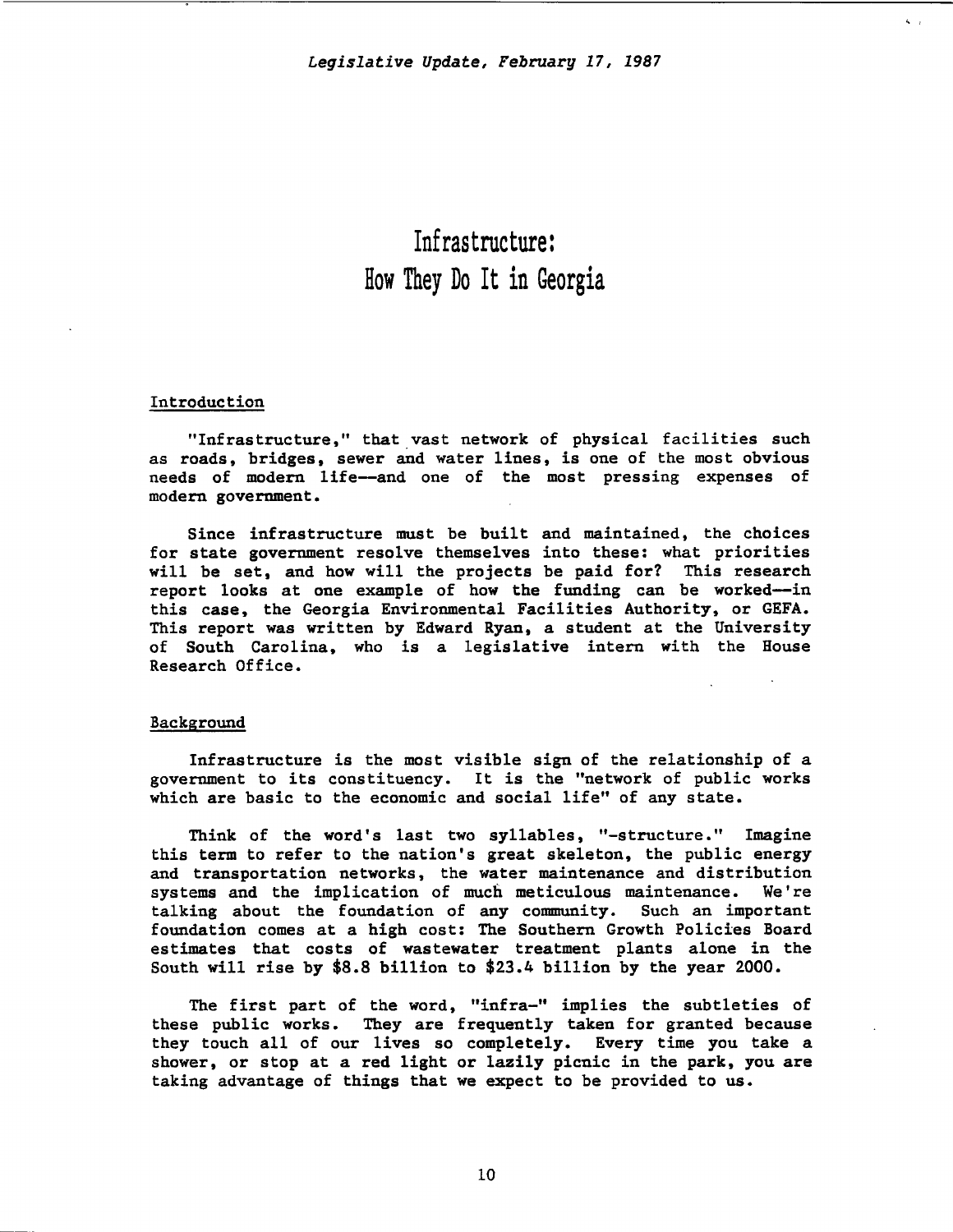$\ddot{\phantom{0}}$ 

# Infrastructure: How They Do It in Georgia

# Introduction

"Infrastructure," that vast network of physical facilities such as roads, bridges, sewer and water lines, is one of the most obvious needs of modern life-and one of the most pressing expenses of modern government.

Since infrastructure must be built and maintained, the choices for state government resolve themselves into these: what priorities will be set, and how will the projects be paid for? This research report looks at one example of how the funding can be worked-in this case, the Georgia Environmental Facilities Authority, or GEFA. This report was written by Edward Ryan, a student at the University of South Carolina, who is a legislative intern with the House Research Office.

#### Background

Infrastructure is the most visible sign of the relationship of a government to its constituency. It is the "network of public works which are basic to the economic and social life" of any state.

Think of the word's last two syllables, "-structure." Imagine this term to refer to the nation's great skeleton, the public energy and transportation networks, the water maintenance and distribution systems and the implication of much meticulous maintenance. We're talking about the foundation of any community. Such an important foundation comes at a high cost: The Southern Growth Policies Board estimates that costs of wastewater treatment plants alone in the South will rise by \$8.8 billion to \$23.4 billion by the year 2000.

The first part of the word, "infra-" implies the subtleties of these public works. They are frequently taken for granted because they touch all of our lives so completely. Every time you take a shower, or stop at a red light or lazily picnic in the park, you are taking advantage of things that we expect to be provided to us.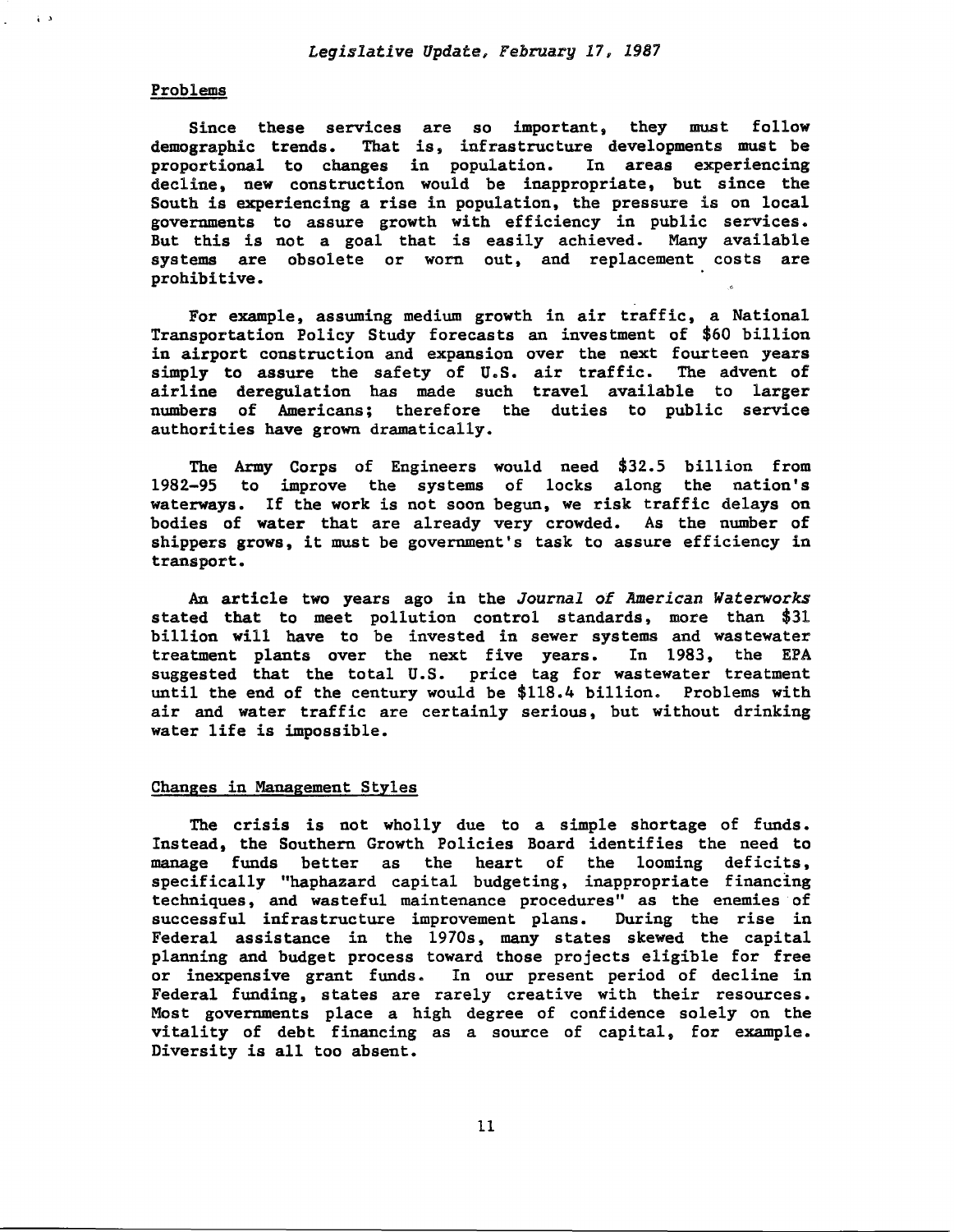# Problems

i ,

Since these services are so important, they must follow demographic trends. That is, infrastructure developments must be proportional to changes in population. In areas experiencing decline, new construction would be inappropriate, but since the South is experiencing a rise in population, the pressure is on local governments to assure growth with efficiency in public services. But this is not a goal that is easily achieved. Many available systems are obsolete or worn out, and replacement costs are prohibitive.

For example, assuming medium growth in air traffic, a National Transportation Policy Study forecasts an investment of \$60 billion in airport construction and expansion over the next fourteen years simply to assure the safety of U.S. air traffic. The advent of airline deregulation has made such travel available to larger numbers of Americans; therefore the duties to public service authorities have grown dramatically.

The Army Corps of Engineers would need \$32.5 billion from 1982-95 to improve the systems of locks along the nation's waterways. If the work is not soon begun, we risk traffic delays on bodies of water that are already very crowded. As the number of shippers grows, it must be government's task to assure efficiency in transport.

An article two years ago in the *Journal of American Waterworks*  stated that to meet pollution control standards, more than \$31 billion will have to be invested in sewer systems and wastewater treatment plants over the next five years. In 1983, the EPA suggested that the total U.S. price tag for wastewater treatment until the end of the century would be \$118.4 billion. Problems with air and water traffic are certainly serious, but without drinking water life is impossible.

### Changes in Management Styles

The crisis is not wholly due to a simple shortage of funds. Instead, the Southern Growth Policies Board identifies the need to manage funds better as the heart of the looming deficits, specifically "haphazard capital budgeting, inappropriate financing techniques, and wasteful maintenance procedures" as the enemies of successful infrastructure improvement plans. During the rise in Federal assistance in the 1970s, many states skewed the capital planning and budget process toward those projects eligible for free or inexpensive grant funds. In our present period of decline in Federal funding, states are rarely creative with their resources. Most governments place a high degree of confidence solely on the vitality of debt financing as a source of capital, for example. Diversity is all too absent.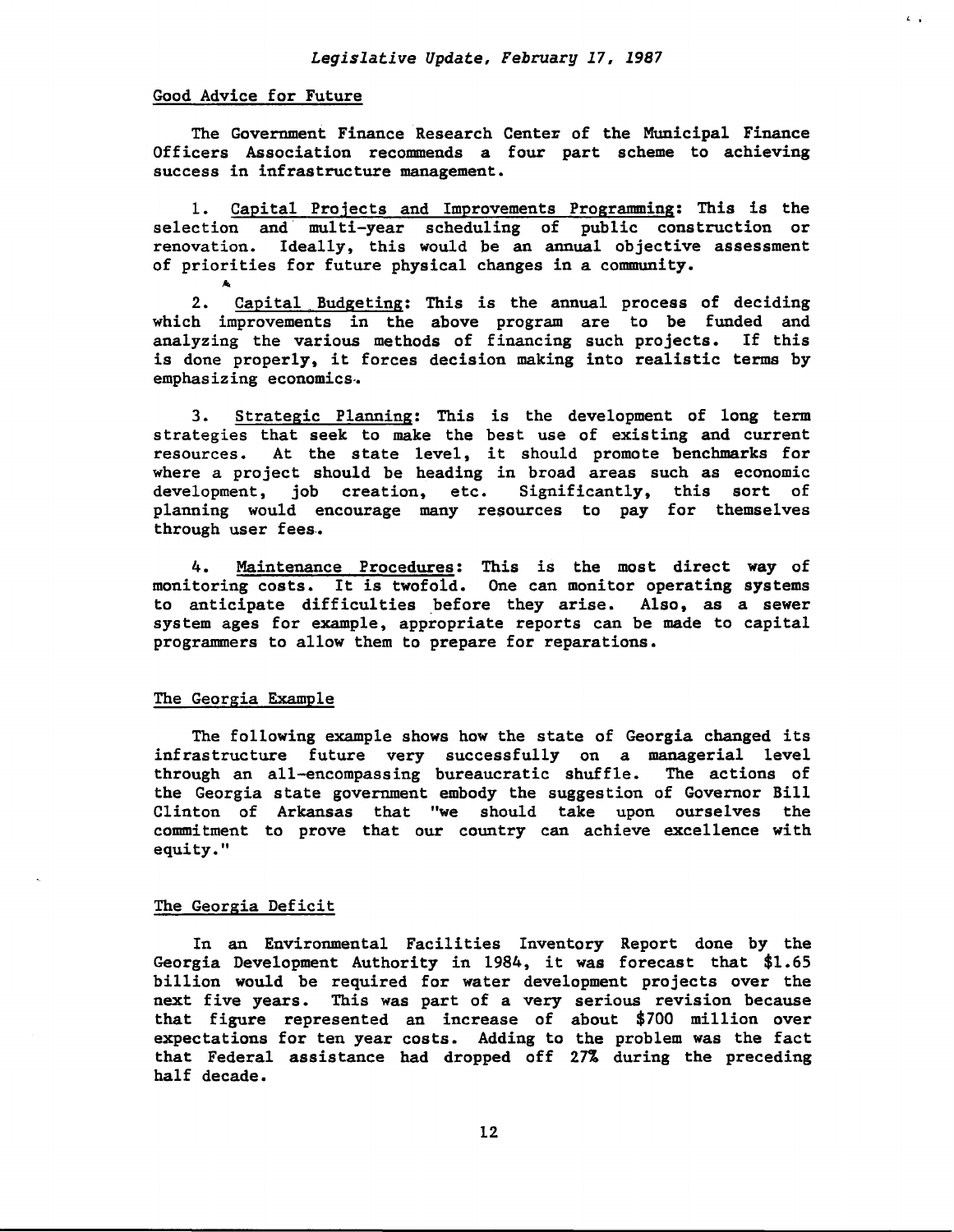$L$   $\ddot{\sim}$ 

# Good Advice for Future

,...

The Government Finance Research Center of the Municipal Finance Officers Association recommends a four part scheme to achieving success in infrastructure management.

1. Capital Projects and Improvements Programming: This is the selection and multi-year scheduling of public construction or renovation. Ideally, this would be an annual objective assessment of priorities for future physical changes in a community.

2. Capital Budgeting: This is the annual process of deciding which improvements in the above program are to be funded and analyzing the various methods of financing such projects. If this is done properly, it forces decision making into realistic terms by emphasizing economics .•

3. Strategic Planning: This is the development of long term strategies that seek to make the best use of existing and current resources. At the state level, it should promote benchmarks for where a project should be heading in broad areas such as economic development, job creation, etc. Significantly, this sort of planning would encourage many resources to pay for themselves through user fees.

4. Maintenance Procedures: This is the most direct way of monitoring costs. It is twofold. One can monitor operating systems to anticipate difficulties before they arise. Also, as a sewer system ages for example, appropriate reports can be made to capital programmers to allow them to prepare for reparations.

#### The Georgia Example

The following example shows how the state of Georgia changed its infrastructure future very successfully on a managerial level through an all-encompassing bureaucratic shuffle. The actions of the Georgia state government embody the suggestion of Governor Bill Clinton of Arkansas that "we should take upon ourselves the commitment to prove that our country can achieve excellence with equity."

# The Georgia Deficit

In an Environmental Facilities Inventory Report done by the Georgia Development Authority in 1984, it was forecast that \$1.65 billion would be required for water development projects over the next five years. This was part of a very serious revision because that figure represented an increase of about \$700 million over expectations for ten year costs. Adding to the problem was the fact that Federal assistance had dropped off 27% during the preceding half decade.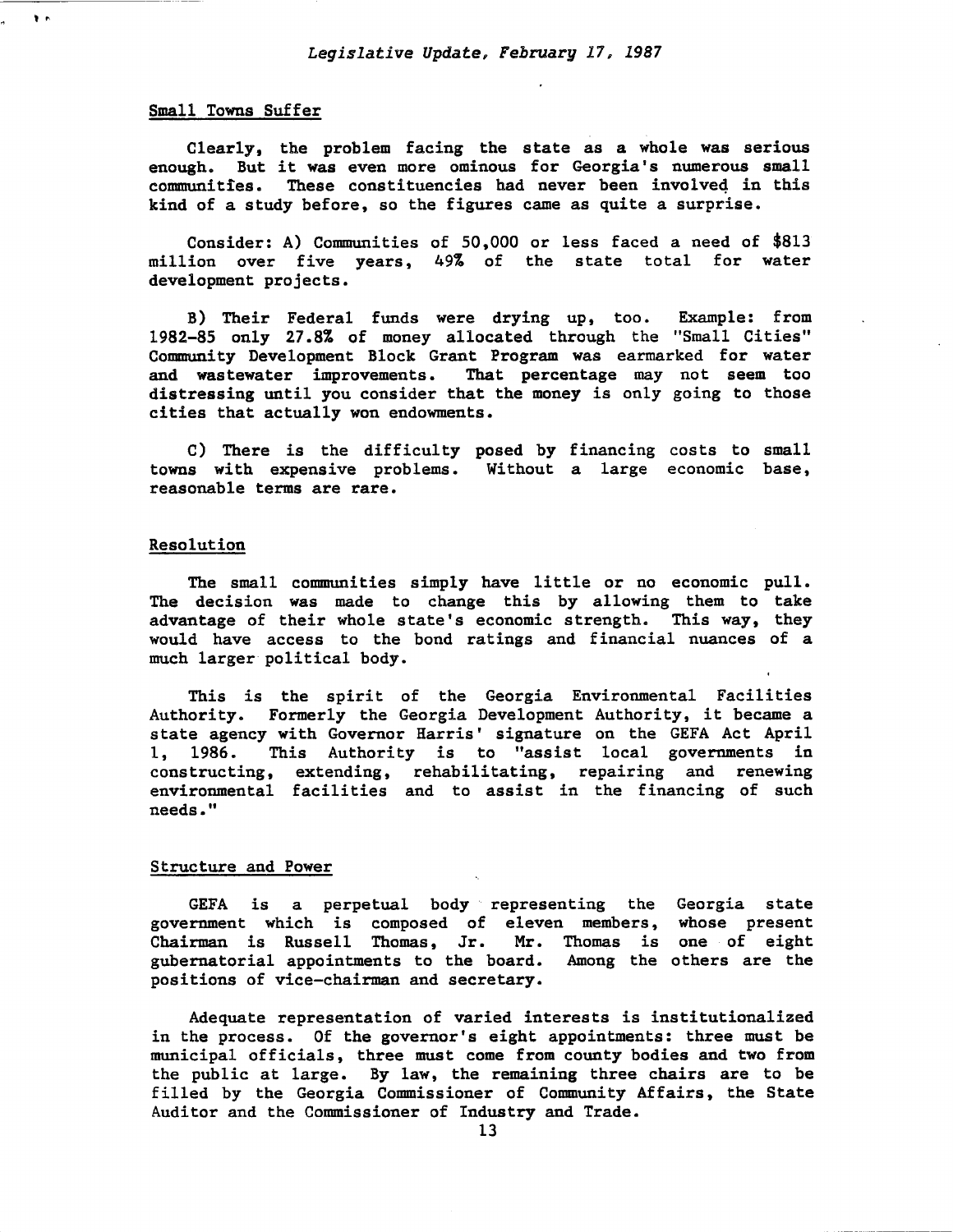#### Small Towns Suffer

 $\mathbf{r}$ 

Clearly, the problem facing the state as a whole was serious enough. But it was even more ominous for Georgia's numerous small communities. These constituencies had never been involveq in this kind of a study before, so the figures came as quite a surprise.

Consider: A) Communities of 50,000 or less faced a need of \$813 million over five years, 49% of the state total for water development projects.

B) Their Federal funds were drying up, too. Example: from 1982-85 only 27.8% of money allocated through the "Small Cities" Community Development Block Grant Program was earmarked for water and wastewater improvements. That percentage may not seem too distressing until you consider that the money is only going to those cities that actually won endowments.

C) There is the difficulty posed by financing costs to small towns with expensive problems. Without a large economic base, reasonable terms are rare.

#### Resolution

The small communities simply have little or no economic pull. The decision was made to change this by allowing them to take advantage of their whole state's economic strength. This way, they would have access to the bond ratings and financial nuances of a much larger political body.

This is the spirit of the Georgia Environmental Facilities Authority. Formerly the Georgia Development Authority, it became a state agency with Governor Harris' signature on the GEFA Act April 1, 1986. This Authority is to "assist local governments in constructing, extending, rehabilitating, repairing and renewing environmental facilities and to assist in the financing of such needs."

#### Structure and Power

GEFA is a perpetual body representing the Georgia state government which is composed of eleven members, whose present Chairman is Russell Thomas, Jr. Mr. Thomas is one of eight gubernatorial appointments to the board. Among the others are the positions of vice-chairman and secretary.

Adequate representation of varied interests is institutionalized in the process. Of the governor's eight appointments: three must be municipal officials, three must come from county bodies and two from the public at large. By law, the remaining three chairs are to be filled by the Georgia Commissioner of Community Affairs, the State Auditor and the Commissioner of Industry and Trade.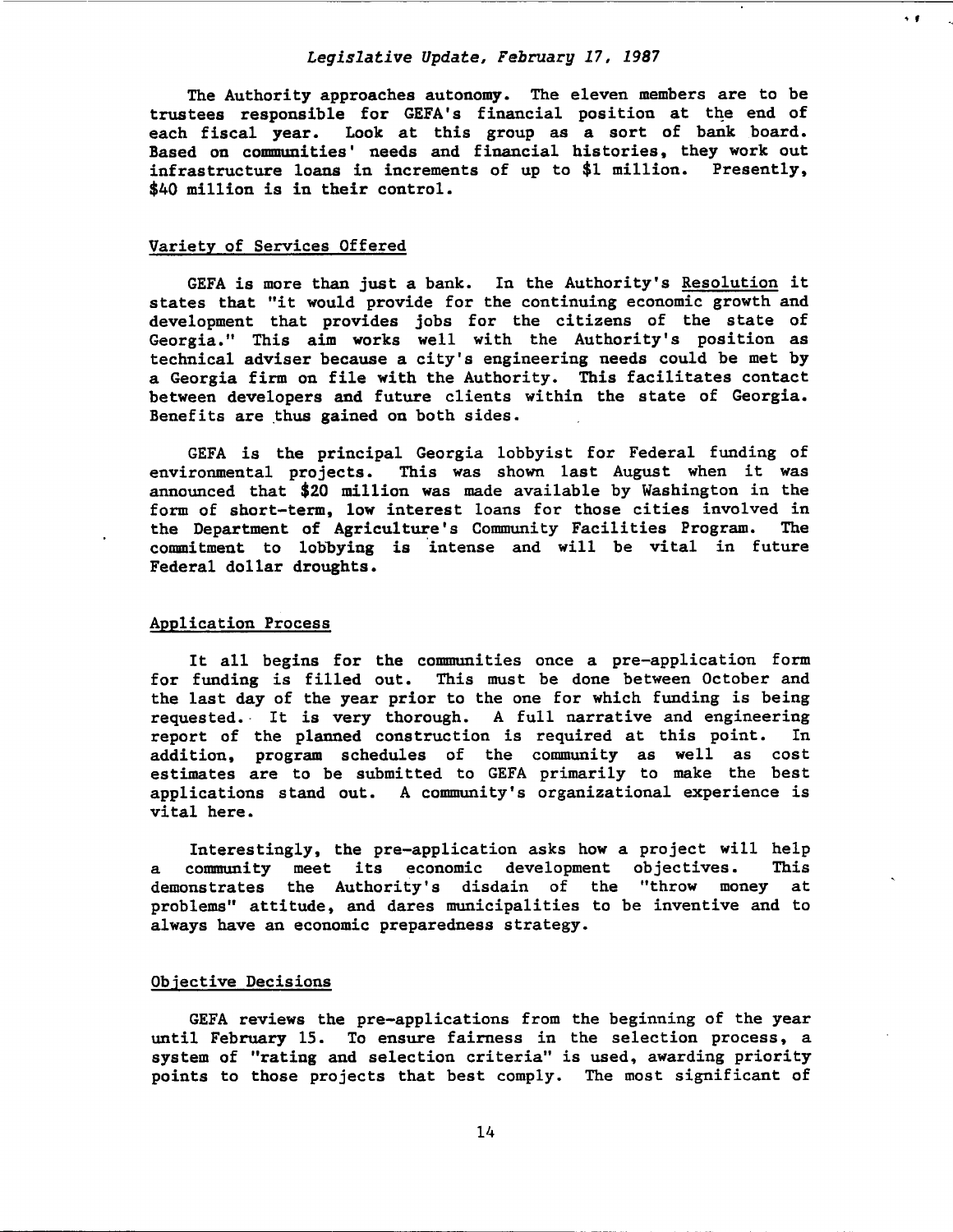' f

The Authority approaches autonomy. The eleven members are to be trustees responsible for GEFA's financial position at the end of each fiscal year. Look at this group as a sort of bank board. Based on communities' needs and financial histories, they work out infrastructure loans in increments of up to \$1 million. Presently, \$40 million is in their control.

#### Variety of Services Offered

GEFA is more than just a bank. In the Authority's Resolution it states that "it would provide for the continuing economic growth and development that provides jobs for the citizens of the state of Georgia." This aim works well with the Authority's position as technical adviser because a city's engineering needs could be met by a Georgia firm on file with the Authority. This facilitates contact between developers and future clients within the state of Georgia. Benefits are thus gained on both sides.

GEFA is the principal Georgia lobbyist for Federal funding of environmental projects. This was shown last August when it was announced that \$20 million was made available by Washington in the form of short-term, low interest loans for those cities involved in<br>the Department of Agriculture's Community Facilities Program. The the Department of Agriculture's Community Facilities Program. commitment to lobbying is intense and will be vital in future Federal dollar droughts.

#### Application Process

It all begins for the communities once a pre-application form for funding is filled out. This must be done between October and the last day of the year prior to the one for which funding is being requested. It is very thorough. A full narrative and engineering<br>report of the planned construction is required at this point. In report of the planned construction is required at this point. addition, program schedules of the community as well as cost estimates are to be submitted to GEFA primarily to make the best applications stand out. A community's organizational experience is vital here.

Interestingly, the pre-application asks how a project will help a community meet its economic development objectives. This demonstrates the Authority's disdain of the "throw money at problems" attitude, and dares municipalities to be inventive and to always have an economic preparedness strategy.

#### Objective Decisions

GEFA reviews the pre-applications from the beginning of the year until February 15. To ensure fairness in the selection process, a system of "rating and selection criteria" is used, awarding priority points to those projects that best comply. The most significant of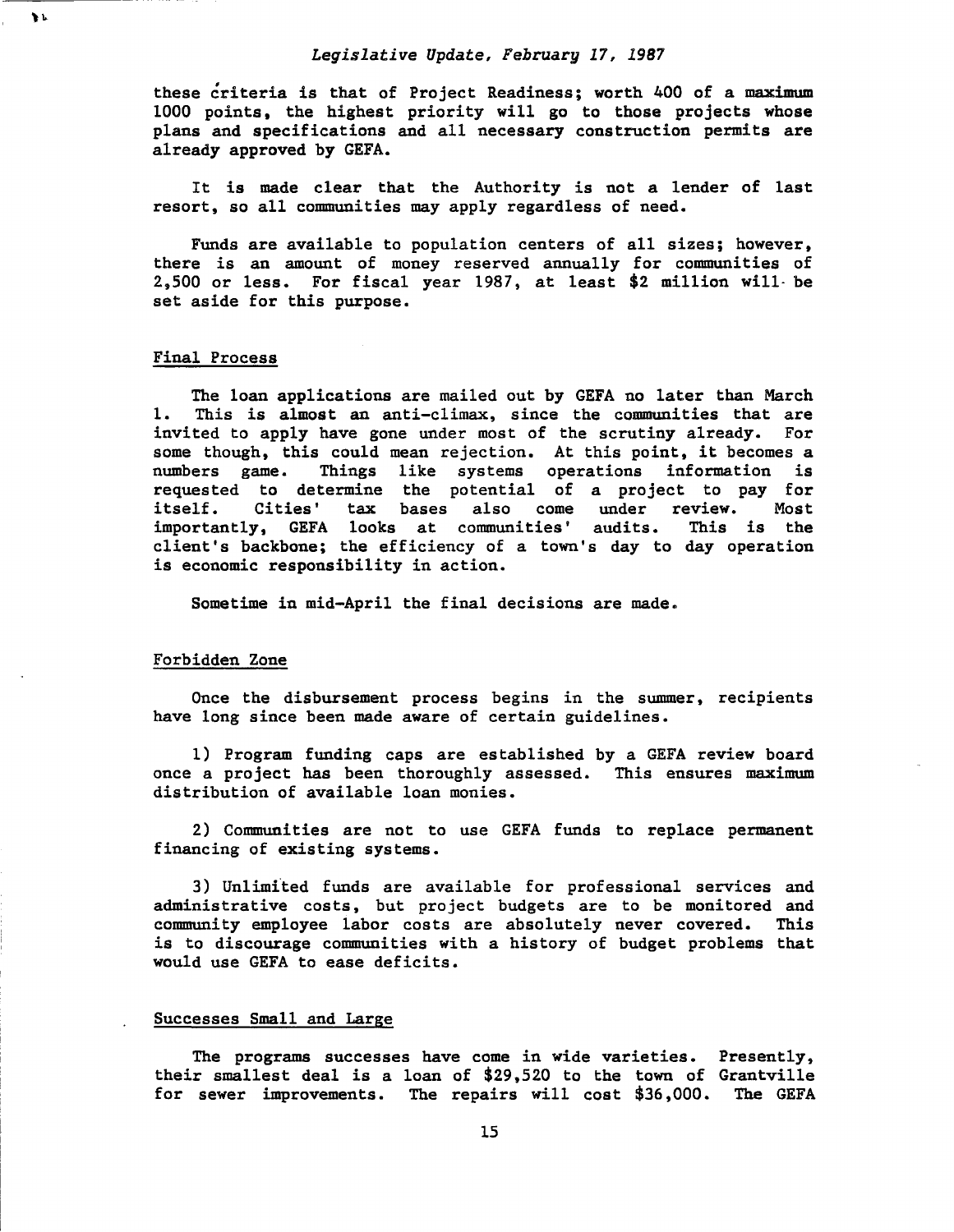these criteria is that of Project Readiness; worth 400 of a maximum 1000 points, the highest priority will go to those projects whose plans and specifications and all necessary construction permits are already approved by GEFA.

It is made clear that the Authority is not a lender of last resort, so all communities may apply regardless of need.

Funds are available to population centers of all sizes; however, there is an amount of money reserved annually for communities of 2,500 or less. For fiscal year 1987, at least \$2 million will- be set aside for this purpose.

#### Final Process

 $\mathbf{h}$ 

The loan applications are mailed out by GEFA no later than March 1. This is almost an anti-climax, since the communities that are invited to apply have gone under most of the scrutiny already. For some though, this could mean rejection. At this point, it becomes a numbers game. Things like systems operations information is Things like systems operations information is requested to determine the potential of a project to pay for<br>itself. Cities' tax bases also come under review. Most tax bases also come under review. Most<br>looks at communities' audits. This is the importantly, GEFA looks at communities' audits. client's backbone; the efficiency of a town's day to day operation is economic responsibility in action.

Sometime in mid-April the final decisions are made.

#### Forbidden Zone

Once the disbursement process begins in the summer, recipients have long since been made aware of certain guidelines.

1) Program funding caps are established by a GEFA review board once a project has been thoroughly assessed. This ensures maximum distribution of available loan monies.

2) Communities are not to use GEFA funds to replace permanent financing of existing systems.

3) Unlimited funds are available for professional services and administrative costs, but project budgets are to be monitored and community employee labor costs are absolutely never covered. This is to discourage communities with a history of budget problems that would use GEFA to ease deficits.

# Successes Small and Large

The programs successes have come in wide varieties. Presently, their smallest deal is a loan of \$29,520 to the town of Grantville for sewer improvements. The repairs will cost \$36,000. The GEFA